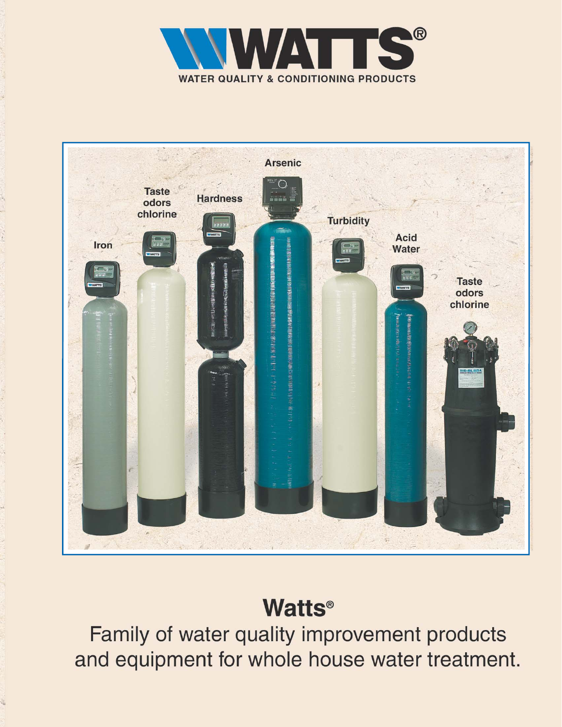



# **Watts®**

Family of water quality improvement products and equipment for whole house water treatment.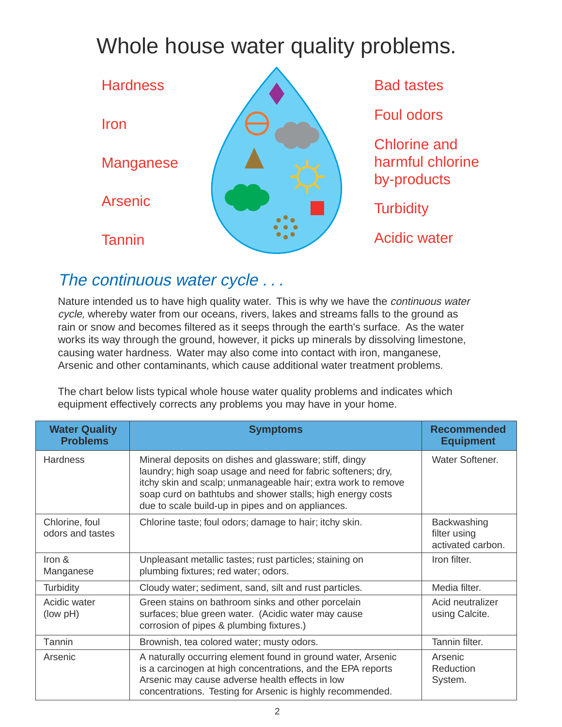# Whole house water quality problems.



### The continuous water cycle . . .

Nature intended us to have high quality water. This is why we have the *continuous water* cycle, whereby water from our oceans, rivers, lakes and streams falls to the ground as rain or snow and becomes filtered as it seeps through the earth's surface. As the water works its way through the ground, however, it picks up minerals by dissolving limestone, causing water hardness. Water may also come into contact with iron, manganese, Arsenic and other contaminants, which cause additional water treatment problems.

The chart below lists typical whole house water quality problems and indicates which equipment effectively corrects any problems you may have in your home.

| <b>Water Quality</b><br><b>Problems</b> | <b>Symptoms</b>                                                                                                                                                                                                                                                                                            | <b>Recommended</b><br><b>Equipment</b>           |
|-----------------------------------------|------------------------------------------------------------------------------------------------------------------------------------------------------------------------------------------------------------------------------------------------------------------------------------------------------------|--------------------------------------------------|
| <b>Hardness</b>                         | Mineral deposits on dishes and glassware; stiff, dingy<br>laundry; high soap usage and need for fabric softeners; dry,<br>itchy skin and scalp; unmanageable hair; extra work to remove<br>soap curd on bathtubs and shower stalls; high energy costs<br>due to scale build-up in pipes and on appliances. | Water Softener.                                  |
| Chlorine, foul<br>odors and tastes      | Chlorine taste; foul odors; damage to hair; itchy skin.                                                                                                                                                                                                                                                    | Backwashing<br>filter using<br>activated carbon. |
| Iron &<br>Manganese                     | Unpleasant metallic tastes; rust particles; staining on<br>plumbing fixtures; red water; odors.                                                                                                                                                                                                            | Iron filter.                                     |
| Turbidity                               | Cloudy water; sediment, sand, silt and rust particles.                                                                                                                                                                                                                                                     | Media filter.                                    |
| Acidic water<br>(low pH)                | Green stains on bathroom sinks and other porcelain<br>surfaces; blue green water. (Acidic water may cause<br>corrosion of pipes & plumbing fixtures.)                                                                                                                                                      | Acid neutralizer<br>using Calcite.               |
| Tannin                                  | Brownish, tea colored water; musty odors.                                                                                                                                                                                                                                                                  | Tannin filter.                                   |
| Arsenic                                 | A naturally occurring element found in ground water, Arsenic<br>is a carcinogen at high concentrations, and the EPA reports<br>Arsenic may cause adverse health effects in low<br>concentrations. Testing for Arsenic is highly recommended.                                                               | Arsenic<br><b>Reduction</b><br>System.           |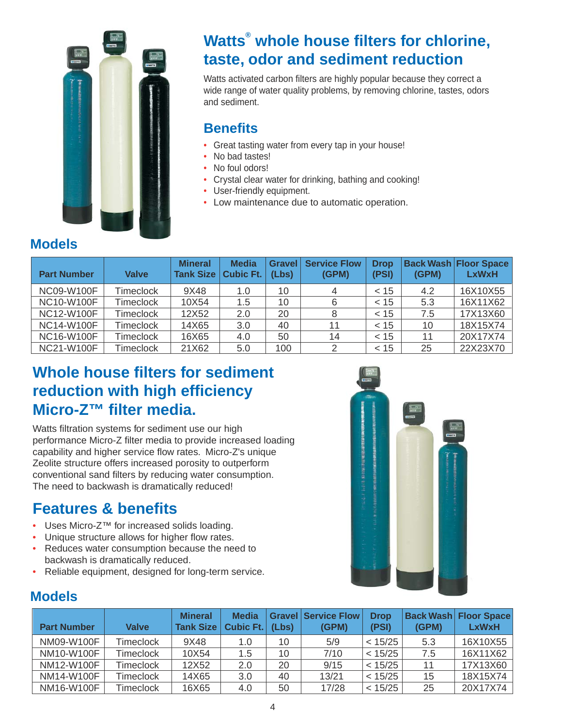

### **Watts® whole house filters for chlorine, taste, odor and sediment reduction**

Watts activated carbon filters are highly popular because they correct a wide range of water quality problems, by removing chlorine, tastes, odors and sediment.

### **Benefits**

- Great tasting water from every tap in your house!
- No bad tastes!
- No foul odors!
- Crystal clear water for drinking, bathing and cooking!
- User-friendly equipment.
- Low maintenance due to automatic operation.

### **Models**

| <b>Part Number</b> | Valve            | <b>Mineral</b><br><b>Tank Size</b> | <b>Media</b><br><b>Cubic Ft.</b> | <b>Gravel</b><br>(Lbs) | <b>Service Flow</b><br>(GPM) | <b>Drop</b><br>(PSI) | (GPM) | <b>Back Wash Floor Space</b><br><b>LxWxH</b> |
|--------------------|------------------|------------------------------------|----------------------------------|------------------------|------------------------------|----------------------|-------|----------------------------------------------|
| NC09-W100F         | <b>Timeclock</b> | 9X48                               | 1.0                              | 10                     |                              | < 15                 | 4.2   | 16X10X55                                     |
| <b>NC10-W100F</b>  | <b>Timeclock</b> | 10X54                              | 1.5                              | 10                     | 6                            | < 15                 | 5.3   | 16X11X62                                     |
| NC12-W100F         | <b>Timeclock</b> | 12X52                              | 2.0                              | 20                     |                              | < 15                 | 7.5   | 17X13X60                                     |
| <b>NC14-W100F</b>  | <b>Timeclock</b> | 14X65                              | 3.0                              | 40                     | 11                           | < 15                 | 10    | 18X15X74                                     |
| <b>NC16-W100F</b>  | Timeclock        | 16X65                              | 4.0                              | 50                     | 14                           | < 15                 | 11    | 20X17X74                                     |
| <b>NC21-W100F</b>  | <b>Timeclock</b> | 21X62                              | 5.0                              | 100                    | 2                            | < 15                 | 25    | 22X23X70                                     |

### **Whole house filters for sediment reduction with high efficiency Micro-Z™ filter media.**

Watts filtration systems for sediment use our high performance Micro-Z filter media to provide increased loading capability and higher service flow rates. Micro-Z's unique Zeolite structure offers increased porosity to outperform conventional sand filters by reducing water consumption. The need to backwash is dramatically reduced!

### **Features & benefits**

- Uses Micro-Z™ for increased solids loading.
- Unique structure allows for higher flow rates.
- Reduces water consumption because the need to backwash is dramatically reduced.
- Reliable equipment, designed for long-term service.



### **Models**

| <b>Part Number</b> | Valve            | <b>Mineral</b><br><b>Tank Size</b> | <b>Media</b><br><b>Cubic Ft.</b> | (Lbs) | <b>Gravel Service Flow</b><br>(GPM) | <b>Drop</b><br>(PSI) | <b>Back Wash</b><br>(GPM) | <b>Floor Space</b><br><b>LxWxH</b> |
|--------------------|------------------|------------------------------------|----------------------------------|-------|-------------------------------------|----------------------|---------------------------|------------------------------------|
| NM09-W100F         | <b>Timeclock</b> | 9X48                               | 1.0                              | 10    | 5/9                                 | < 15/25              | 5.3                       | 16X10X55                           |
| NM10-W100F         | Timeclock        | 10X54                              | 1.5                              | 10    | 7/10                                | < 15/25              | 7.5                       | 16X11X62                           |
| NM12-W100F         | Timeclock        | 12X52                              | 2.0                              | 20    | 9/15                                | < 15/25              | 11                        | 17X13X60                           |
| NM14-W100F         | <b>Timeclock</b> | 14X65                              | 3.0                              | 40    | 13/21                               | < 15/25              | 15                        | 18X15X74                           |
| NM16-W100F         | Timeclock        | 16X65                              | 4.0                              | 50    | 17/28                               | < 15/25              | 25                        | 20X17X74                           |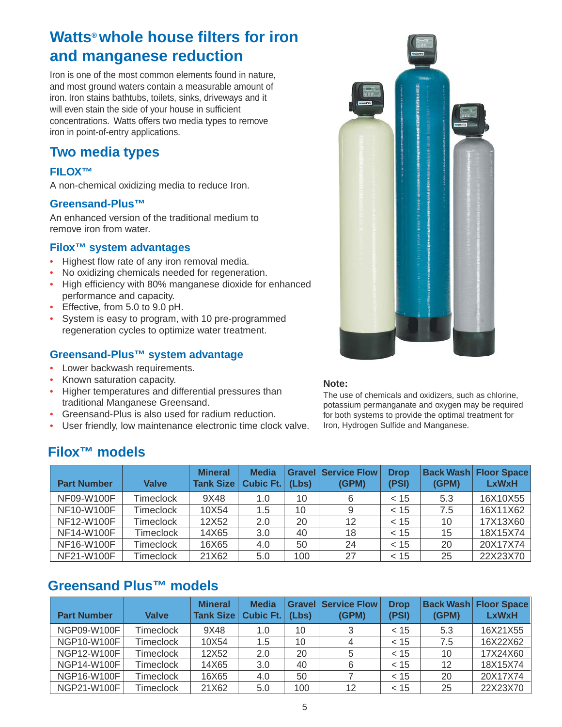### **Watts® whole house filters for iron and manganese reduction**

Iron is one of the most common elements found in nature, and most ground waters contain a measurable amount of iron. Iron stains bathtubs, toilets, sinks, driveways and it will even stain the side of your house in sufficient concentrations. Watts offers two media types to remove iron in point-of-entry applications.

### **Two media types**

#### **FILOX™**

A non-chemical oxidizing media to reduce Iron.

#### **Greensand-Plus™**

An enhanced version of the traditional medium to remove iron from water.

#### **Filox™ system advantages**

- Highest flow rate of any iron removal media.
- No oxidizing chemicals needed for regeneration.
- High efficiency with 80% manganese dioxide for enhanced performance and capacity.
- Effective, from 5.0 to 9.0 pH.
- System is easy to program, with 10 pre-programmed regeneration cycles to optimize water treatment.

#### **Greensand-Plus™ system advantage**

- Lower backwash requirements.
- Known saturation capacity.
- Higher temperatures and differential pressures than traditional Manganese Greensand.
- Greensand-Plus is also used for radium reduction.
- User friendly, low maintenance electronic time clock valve.



#### **Note:**

The use of chemicals and oxidizers, such as chlorine, potassium permanganate and oxygen may be required for both systems to provide the optimal treatment for Iron, Hydrogen Sulfide and Manganese.

### **Filox™ models**

| <b>Part Number</b> | <b>Valve</b>     | <b>Mineral</b><br><b>Tank Size</b> | <b>Media</b><br><b>Cubic Ft.</b> | (Lbs) | <b>Gravel Service Flow</b><br>(GPM) | <b>Drop</b><br>(PSI) | (GPM) | <b>Back Wash Floor Space</b><br><b>LxWxH</b> |
|--------------------|------------------|------------------------------------|----------------------------------|-------|-------------------------------------|----------------------|-------|----------------------------------------------|
| NF09-W100F         | Timeclock        | 9X48                               | 1.0                              | 10    | 6                                   | < 15                 | 5.3   | 16X10X55                                     |
| NF10-W100F         | <b>Timeclock</b> | 10X54                              | 1.5                              | 10    | 9                                   | ~< 15                | 7.5   | 16X11X62                                     |
| NF12-W100F         | Timeclock        | 12X52                              | 2.0                              | 20    | 12                                  | ~< 15                | 10    | 17X13X60                                     |
| NF14-W100F         | Timeclock        | 14X65                              | 3.0                              | 40    | 18                                  | < 15                 | 15    | 18X15X74                                     |
| NF16-W100F         | Timeclock        | 16X65                              | 4.0                              | 50    | 24                                  | < 15                 | 20    | 20X17X74                                     |
| NF21-W100F         | <b>Timeclock</b> | 21X62                              | 5.0                              | 100   | 27                                  | < 15                 | 25    | 22X23X70                                     |

### **Greensand Plus™ models**

| <b>Part Number</b> | <b>Valve</b>     | <b>Mineral</b><br>Tank Size | <b>Media</b><br>Cubic $Ft.$ | (Lbs) | <b>Gravel Service Flow</b><br>(GPM) | <b>Drop</b><br>(PSI) | (GPM) | <b>Back Wash Floor Space</b><br><b>LxWxH</b> |
|--------------------|------------------|-----------------------------|-----------------------------|-------|-------------------------------------|----------------------|-------|----------------------------------------------|
| NGP09-W100F        | Timeclock        | 9X48                        | 1.0                         | 10    |                                     | < 15                 | 5.3   | 16X21X55                                     |
| <b>NGP10-W100F</b> | Timeclock        | 10X54                       | 1.5                         | 10    |                                     | ~< 15                | 7.5   | 16X22X62                                     |
| NGP12-W100F        | Timeclock        | 12X52                       | 2.0                         | 20    | 5                                   | < 15                 | 10    | 17X24X60                                     |
| <b>NGP14-W100F</b> | Timeclock        | 14X65                       | 3.0                         | 40    | 6                                   | < 15                 | 12    | 18X15X74                                     |
| <b>NGP16-W100F</b> | Timeclock        | 16X65                       | 4.0                         | 50    |                                     | ~< 15                | 20    | 20X17X74                                     |
| NGP21-W100F        | <b>Timeclock</b> | 21X62                       | 5.0                         | 100   | 12                                  | < 15                 | 25    | 22X23X70                                     |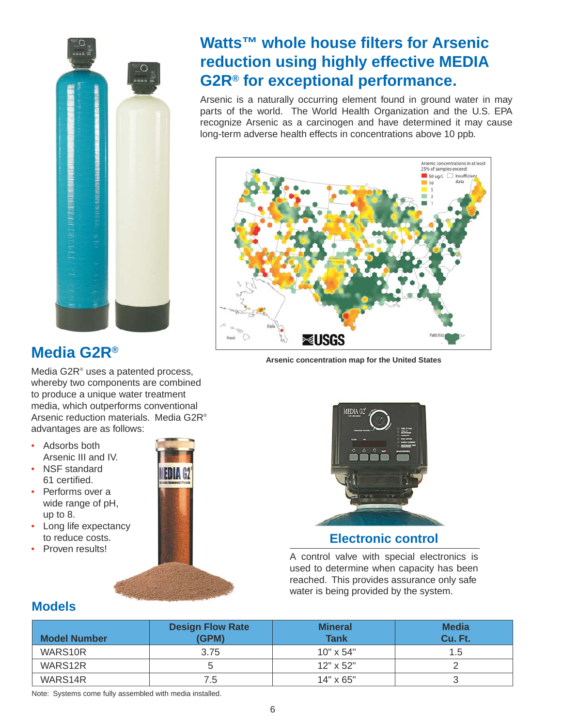

### **Watts™ whole house filters for Arsenic reduction using highly effective MEDIA G2R® for exceptional performance.**

Arsenic is a naturally occurring element found in ground water in may parts of the world. The World Health Organization and the U.S. EPA recognize Arsenic as a carcinogen and have determined it may cause long-term adverse health effects in concentrations above 10 ppb.



**Arsenic concentration map for the United States**

### **Media G2R®**

Media G2R® uses a patented process, whereby two components are combined to produce a unique water treatment media, which outperforms conventional Arsenic reduction materials. Media G2R® advantages are as follows:

- Adsorbs both Arsenic III and IV.
- NSF standard 61 certified.
- Performs over a wide range of pH, up to 8.
- Long life expectancy to reduce costs.
- Proven results!





**Electronic control**

A control valve with special electronics is used to determine when capacity has been reached. This provides assurance only safe water is being provided by the system.

#### **Models**

| <b>Model Number</b> | <b>Design Flow Rate</b><br>(GPM) | <b>Mineral</b><br><b>Tank</b> | <b>Media</b><br>Cu. Ft. |
|---------------------|----------------------------------|-------------------------------|-------------------------|
| WARS10R             | 3.75                             | $10" \times 54"$              | 1.5                     |
| WARS12R             |                                  | $12" \times 52"$              |                         |
| WARS14R             | 7.5                              | $14" \times 65"$              |                         |

Note: Systems come fully assembled with media installed.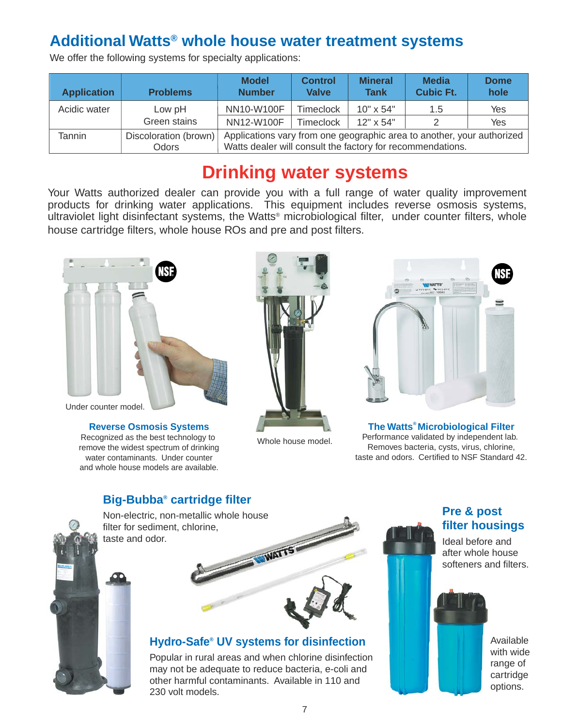### **Additional Watts® whole house water treatment systems**

| <b>Application</b> | <b>Problems</b>       | <b>Model</b><br><b>Number</b>                                          | <b>Control</b><br>Valve | <b>Mineral</b><br><b>Tank</b> | <b>Media</b><br><b>Cubic Ft.</b> | <b>Dome</b><br>hole |  |  |
|--------------------|-----------------------|------------------------------------------------------------------------|-------------------------|-------------------------------|----------------------------------|---------------------|--|--|
| Acidic water       | Low pH                | NN10-W100F                                                             | <b>Timeclock</b>        | $10" \times 54"$              | 1.5                              | Yes                 |  |  |
|                    | Green stains          | NN12-W100F                                                             | <b>Timeclock</b>        | $12" \times 54"$              | 2                                | Yes                 |  |  |
| Tannin             | Discoloration (brown) | Applications vary from one geographic area to another, your authorized |                         |                               |                                  |                     |  |  |
|                    | Odors                 | Watts dealer will consult the factory for recommendations.             |                         |                               |                                  |                     |  |  |

We offer the following systems for specialty applications:

## **Drinking water systems**

Your Watts authorized dealer can provide you with a full range of water quality improvement products for drinking water applications. This equipment includes reverse osmosis systems, ultraviolet light disinfectant systems, the Watts<sup>®</sup> microbiological filter, under counter filters, whole house cartridge filters, whole house ROs and pre and post filters.



Under counter model.

**Reverse Osmosis Systems** Recognized as the best technology to remove the widest spectrum of drinking water contaminants. Under counter and whole house models are available.



Whole house model.



**The Watts® Microbiological Filter** Performance validated by independent lab. Removes bacteria, cysts, virus, chlorine, taste and odors. Certified to NSF Standard 42.

#### **Big-Bubba® cartridge filter**



Non-electric, non-metallic whole house filter for sediment, chlorine, taste and odor.

WAITS

#### **Hydro-Safe® UV systems for disinfection**

Popular in rural areas and when chlorine disinfection may not be adequate to reduce bacteria, e-coli and other harmful contaminants. Available in 110 and 230 volt models.

#### **Pre & post filter housings**

Ideal before and after whole house softeners and filters.



Available with wide range of cartridge options.